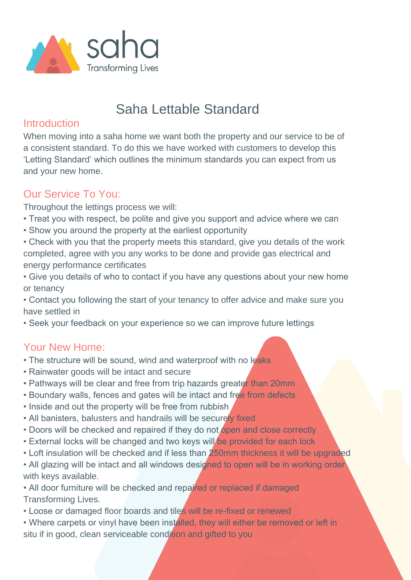

# Saha Lettable Standard

#### **Introduction**

When moving into a saha home we want both the property and our service to be of a consistent standard. To do this we have worked with customers to develop this 'Letting Standard' which outlines the minimum standards you can expect from us and your new home.

## Our Service To You:

Throughout the lettings process we will:

- Treat you with respect, be polite and give you support and advice where we can
- Show you around the property at the earliest opportunity
- Check with you that the property meets this standard, give you details of the work completed, agree with you any works to be done and provide gas electrical and energy performance certificates
- Give you details of who to contact if you have any questions about your new home or tenancy
- Contact you following the start of your tenancy to offer advice and make sure you have settled in
- Seek your feedback on your experience so we can improve future lettings

## Your New Home:

- The structure will be sound, wind and waterproof with no leaks
- Rainwater goods will be intact and secure
- Pathways will be clear and free from trip hazards greater than 20mm
- Boundary walls, fences and gates will be intact and free from defects
- Inside and out the property will be free from rubbish
- All banisters, balusters and handrails will be securely fixed
- Doors will be checked and repaired if they do not open and close correctly
- External locks will be changed and two keys will be provided for each lock
- Loft insulation will be checked and if less than 250mm thickness it will be upgraded
- All glazing will be intact and all windows designed to open will be in working order with keys available.
- All door furniture will be checked and repaired or replaced if damaged Transforming Lives.
- Loose or damaged floor boards and tiles will be re-fixed or renewed
- Where carpets or vinyl have been installed, they will either be removed or left in situ if in good, clean serviceable condition and gifted to you